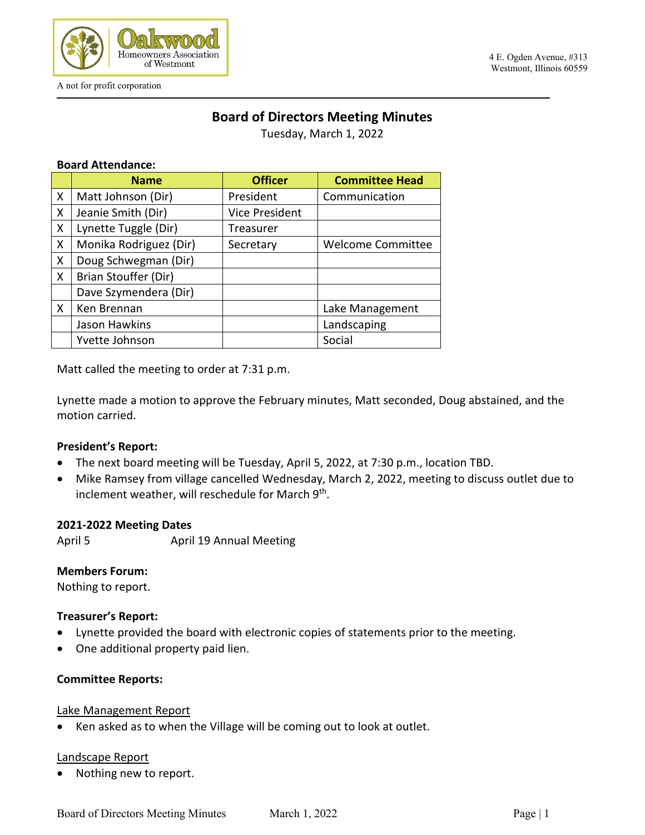

A not for profit corporation

#### 4 E. Ogden Avenue, #313 Westmont, Illinois 60559

# **Board of Directors Meeting Minutes**

Tuesday, March 1, 2022

### **Board Attendance:**

|   | <b>Name</b>            | <b>Officer</b> | <b>Committee Head</b>    |
|---|------------------------|----------------|--------------------------|
| X | Matt Johnson (Dir)     | President      | Communication            |
| X | Jeanie Smith (Dir)     | Vice President |                          |
| X | Lynette Tuggle (Dir)   | Treasurer      |                          |
| X | Monika Rodriguez (Dir) | Secretary      | <b>Welcome Committee</b> |
| X | Doug Schwegman (Dir)   |                |                          |
| X | Brian Stouffer (Dir)   |                |                          |
|   | Dave Szymendera (Dir)  |                |                          |
| X | Ken Brennan            |                | Lake Management          |
|   | Jason Hawkins          |                | Landscaping              |
|   | Yvette Johnson         |                | Social                   |

Matt called the meeting to order at 7:31 p.m.

Lynette made a motion to approve the February minutes, Matt seconded, Doug abstained, and the motion carried.

### **President's Report:**

- The next board meeting will be Tuesday, April 5, 2022, at 7:30 p.m., location TBD.
- Mike Ramsey from village cancelled Wednesday, March 2, 2022, meeting to discuss outlet due to inclement weather, will reschedule for March 9<sup>th</sup>.

### **2021-2022 Meeting Dates**

April 5 April 19 Annual Meeting

### **Members Forum:**

Nothing to report.

### **Treasurer's Report:**

- Lynette provided the board with electronic copies of statements prior to the meeting.
- One additional property paid lien.

### **Committee Reports:**

### Lake Management Report

Ken asked as to when the Village will be coming out to look at outlet.

### Landscape Report

Nothing new to report.